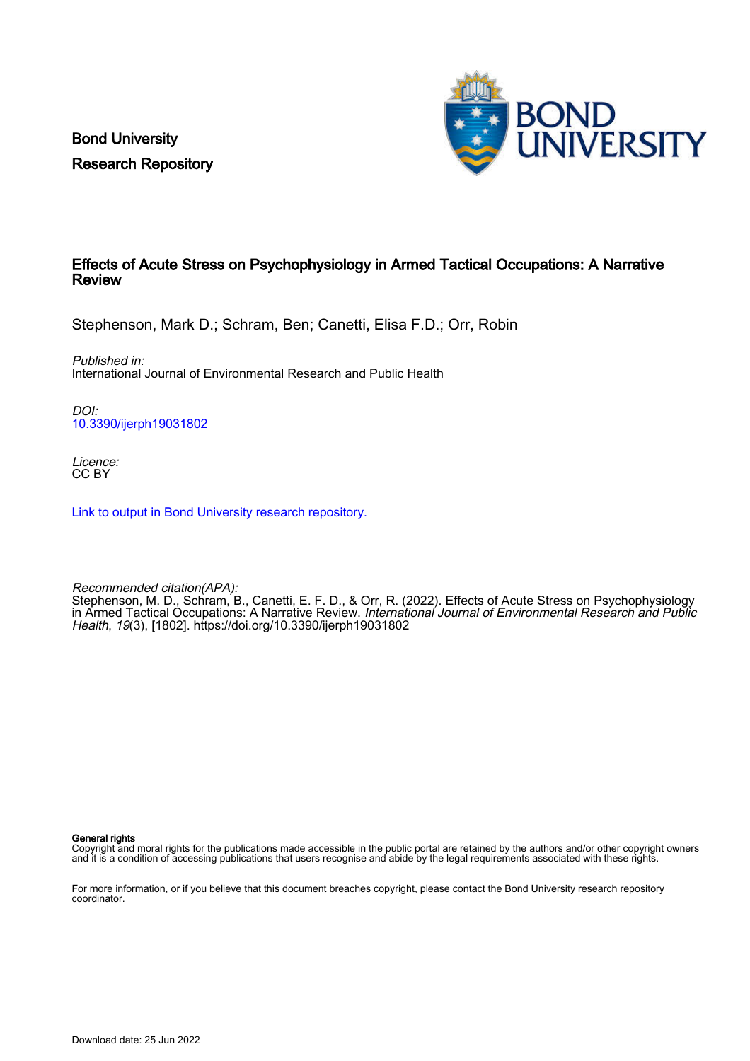Bond University Research Repository



# Effects of Acute Stress on Psychophysiology in Armed Tactical Occupations: A Narrative Review

Stephenson, Mark D.; Schram, Ben; Canetti, Elisa F.D.; Orr, Robin

Published in: International Journal of Environmental Research and Public Health

DOI: [10.3390/ijerph19031802](https://doi.org/10.3390/ijerph19031802)

Licence: CC BY

[Link to output in Bond University research repository.](https://research.bond.edu.au/en/publications/16f8c880-f703-4c79-817d-779f893866be)

Recommended citation(APA): Stephenson, M. D., Schram, B., Canetti, E. F. D., & Orr, R. (2022). Effects of Acute Stress on Psychophysiology in Armed Tactical Occupations: A Narrative Review. *International Journal of Environmental Research and Public* Health, 19(3), [1802]. <https://doi.org/10.3390/ijerph19031802>

General rights

Copyright and moral rights for the publications made accessible in the public portal are retained by the authors and/or other copyright owners and it is a condition of accessing publications that users recognise and abide by the legal requirements associated with these rights.

For more information, or if you believe that this document breaches copyright, please contact the Bond University research repository coordinator.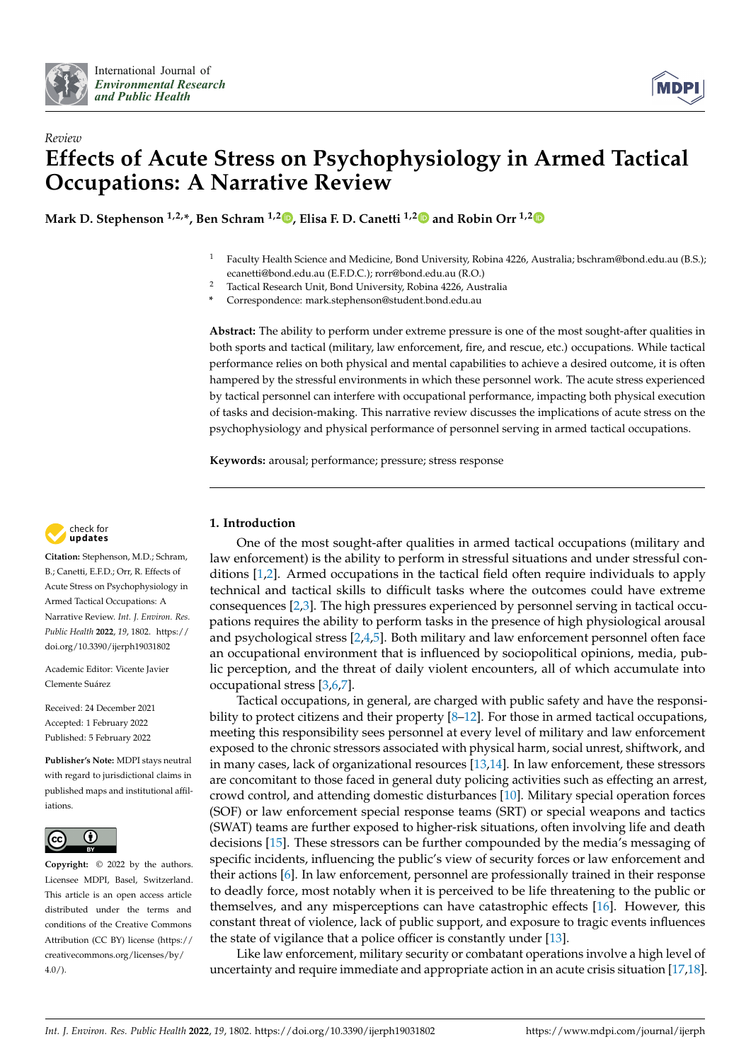



# *Review* **Effects of Acute Stress on Psychophysiology in Armed Tactical Occupations: A Narrative Review**

**Mark D. Stephenson 1,2,\*, Ben Schram 1,2 [,](https://orcid.org/0000-0002-1865-0488) Elisa F. D. Canetti 1,[2](https://orcid.org/0000-0002-8358-398X) and Robin Orr 1,[2](https://orcid.org/0000-0001-8297-8288)**

- <sup>1</sup> Faculty Health Science and Medicine, Bond University, Robina 4226, Australia; bschram@bond.edu.au (B.S.); ecanetti@bond.edu.au (E.F.D.C.); rorr@bond.edu.au (R.O.)
- <sup>2</sup> Tactical Research Unit, Bond University, Robina 4226, Australia
	- **\*** Correspondence: mark.stephenson@student.bond.edu.au

**Abstract:** The ability to perform under extreme pressure is one of the most sought-after qualities in both sports and tactical (military, law enforcement, fire, and rescue, etc.) occupations. While tactical performance relies on both physical and mental capabilities to achieve a desired outcome, it is often hampered by the stressful environments in which these personnel work. The acute stress experienced by tactical personnel can interfere with occupational performance, impacting both physical execution of tasks and decision-making. This narrative review discusses the implications of acute stress on the psychophysiology and physical performance of personnel serving in armed tactical occupations.

**Keywords:** arousal; performance; pressure; stress response



**Citation:** Stephenson, M.D.; Schram, B.; Canetti, E.F.D.; Orr, R. Effects of Acute Stress on Psychophysiology in Armed Tactical Occupations: A Narrative Review. *Int. J. Environ. Res. Public Health* **2022**, *19*, 1802. [https://](https://doi.org/10.3390/ijerph19031802) [doi.org/10.3390/ijerph19031802](https://doi.org/10.3390/ijerph19031802)

Academic Editor: Vicente Javier Clemente Suárez

Received: 24 December 2021 Accepted: 1 February 2022 Published: 5 February 2022

**Publisher's Note:** MDPI stays neutral with regard to jurisdictional claims in published maps and institutional affiliations.



**Copyright:** © 2022 by the authors. Licensee MDPI, Basel, Switzerland. This article is an open access article distributed under the terms and conditions of the Creative Commons Attribution (CC BY) license [\(https://](https://creativecommons.org/licenses/by/4.0/) [creativecommons.org/licenses/by/](https://creativecommons.org/licenses/by/4.0/)  $4.0/$ ).

# **1. Introduction**

One of the most sought-after qualities in armed tactical occupations (military and law enforcement) is the ability to perform in stressful situations and under stressful conditions [\[1,](#page-7-0)[2\]](#page-7-1). Armed occupations in the tactical field often require individuals to apply technical and tactical skills to difficult tasks where the outcomes could have extreme consequences [\[2](#page-7-1)[,3\]](#page-7-2). The high pressures experienced by personnel serving in tactical occupations requires the ability to perform tasks in the presence of high physiological arousal and psychological stress [\[2,](#page-7-1)[4,](#page-7-3)[5\]](#page-7-4). Both military and law enforcement personnel often face an occupational environment that is influenced by sociopolitical opinions, media, public perception, and the threat of daily violent encounters, all of which accumulate into occupational stress [\[3,](#page-7-2)[6,](#page-7-5)[7\]](#page-7-6).

Tactical occupations, in general, are charged with public safety and have the responsibility to protect citizens and their property  $[8-12]$  $[8-12]$ . For those in armed tactical occupations, meeting this responsibility sees personnel at every level of military and law enforcement exposed to the chronic stressors associated with physical harm, social unrest, shiftwork, and in many cases, lack of organizational resources [\[13](#page-7-9)[,14\]](#page-7-10). In law enforcement, these stressors are concomitant to those faced in general duty policing activities such as effecting an arrest, crowd control, and attending domestic disturbances [\[10\]](#page-7-11). Military special operation forces (SOF) or law enforcement special response teams (SRT) or special weapons and tactics (SWAT) teams are further exposed to higher-risk situations, often involving life and death decisions [\[15\]](#page-7-12). These stressors can be further compounded by the media's messaging of specific incidents, influencing the public's view of security forces or law enforcement and their actions [\[6\]](#page-7-5). In law enforcement, personnel are professionally trained in their response to deadly force, most notably when it is perceived to be life threatening to the public or themselves, and any misperceptions can have catastrophic effects [\[16\]](#page-7-13). However, this constant threat of violence, lack of public support, and exposure to tragic events influences the state of vigilance that a police officer is constantly under [\[13\]](#page-7-9).

Like law enforcement, military security or combatant operations involve a high level of uncertainty and require immediate and appropriate action in an acute crisis situation [\[17](#page-7-14)[,18\]](#page-7-15).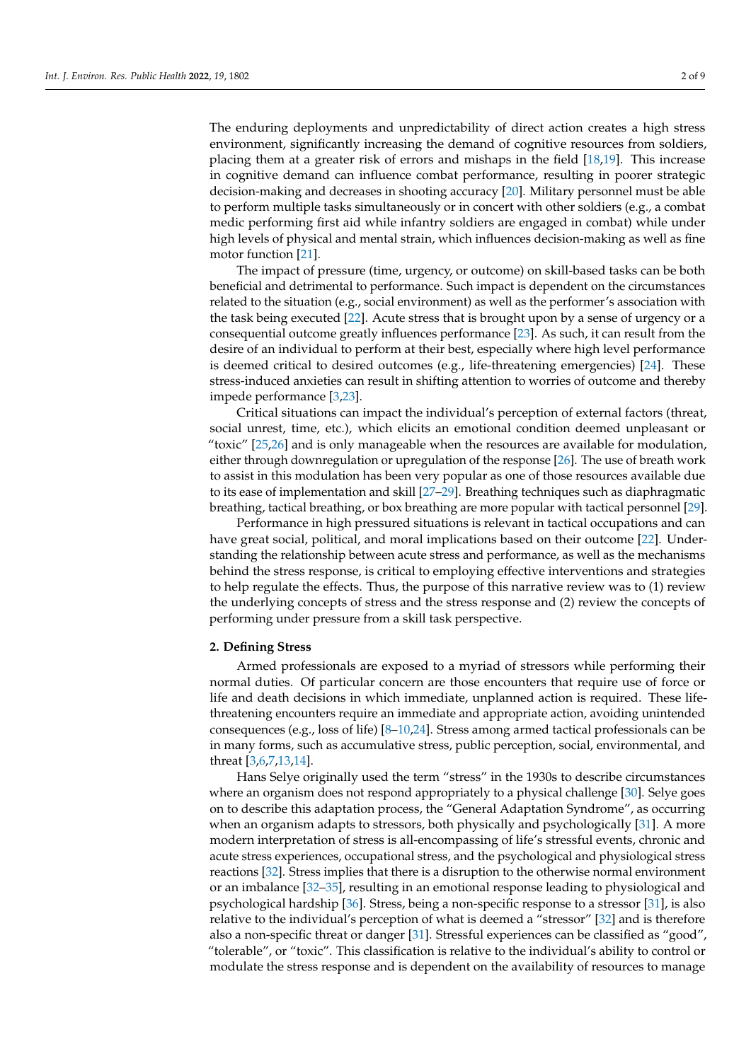The enduring deployments and unpredictability of direct action creates a high stress environment, significantly increasing the demand of cognitive resources from soldiers, placing them at a greater risk of errors and mishaps in the field [\[18](#page-7-15)[,19\]](#page-7-16). This increase in cognitive demand can influence combat performance, resulting in poorer strategic decision-making and decreases in shooting accuracy [\[20\]](#page-7-17). Military personnel must be able to perform multiple tasks simultaneously or in concert with other soldiers (e.g., a combat medic performing first aid while infantry soldiers are engaged in combat) while under high levels of physical and mental strain, which influences decision-making as well as fine motor function [\[21\]](#page-7-18).

The impact of pressure (time, urgency, or outcome) on skill-based tasks can be both beneficial and detrimental to performance. Such impact is dependent on the circumstances related to the situation (e.g., social environment) as well as the performer's association with the task being executed [\[22\]](#page-7-19). Acute stress that is brought upon by a sense of urgency or a consequential outcome greatly influences performance [\[23\]](#page-8-0). As such, it can result from the desire of an individual to perform at their best, especially where high level performance is deemed critical to desired outcomes (e.g., life-threatening emergencies) [\[24\]](#page-8-1). These stress-induced anxieties can result in shifting attention to worries of outcome and thereby impede performance [\[3,](#page-7-2)[23\]](#page-8-0).

Critical situations can impact the individual's perception of external factors (threat, social unrest, time, etc.), which elicits an emotional condition deemed unpleasant or "toxic" [\[25,](#page-8-2)[26\]](#page-8-3) and is only manageable when the resources are available for modulation, either through downregulation or upregulation of the response [\[26\]](#page-8-3). The use of breath work to assist in this modulation has been very popular as one of those resources available due to its ease of implementation and skill [\[27](#page-8-4)[–29\]](#page-8-5). Breathing techniques such as diaphragmatic breathing, tactical breathing, or box breathing are more popular with tactical personnel [\[29\]](#page-8-5).

Performance in high pressured situations is relevant in tactical occupations and can have great social, political, and moral implications based on their outcome [\[22\]](#page-7-19). Understanding the relationship between acute stress and performance, as well as the mechanisms behind the stress response, is critical to employing effective interventions and strategies to help regulate the effects. Thus, the purpose of this narrative review was to (1) review the underlying concepts of stress and the stress response and (2) review the concepts of performing under pressure from a skill task perspective.

### **2. Defining Stress**

Armed professionals are exposed to a myriad of stressors while performing their normal duties. Of particular concern are those encounters that require use of force or life and death decisions in which immediate, unplanned action is required. These lifethreatening encounters require an immediate and appropriate action, avoiding unintended consequences (e.g., loss of life) [\[8](#page-7-7)[–10](#page-7-11)[,24\]](#page-8-1). Stress among armed tactical professionals can be in many forms, such as accumulative stress, public perception, social, environmental, and threat [\[3](#page-7-2)[,6](#page-7-5)[,7](#page-7-6)[,13](#page-7-9)[,14\]](#page-7-10).

Hans Selye originally used the term "stress" in the 1930s to describe circumstances where an organism does not respond appropriately to a physical challenge [\[30\]](#page-8-6). Selye goes on to describe this adaptation process, the "General Adaptation Syndrome", as occurring when an organism adapts to stressors, both physically and psychologically [\[31\]](#page-8-7). A more modern interpretation of stress is all-encompassing of life's stressful events, chronic and acute stress experiences, occupational stress, and the psychological and physiological stress reactions [\[32\]](#page-8-8). Stress implies that there is a disruption to the otherwise normal environment or an imbalance [\[32](#page-8-8)[–35\]](#page-8-9), resulting in an emotional response leading to physiological and psychological hardship [\[36\]](#page-8-10). Stress, being a non-specific response to a stressor [\[31\]](#page-8-7), is also relative to the individual's perception of what is deemed a "stressor" [\[32\]](#page-8-8) and is therefore also a non-specific threat or danger [\[31\]](#page-8-7). Stressful experiences can be classified as "good", "tolerable", or "toxic". This classification is relative to the individual's ability to control or modulate the stress response and is dependent on the availability of resources to manage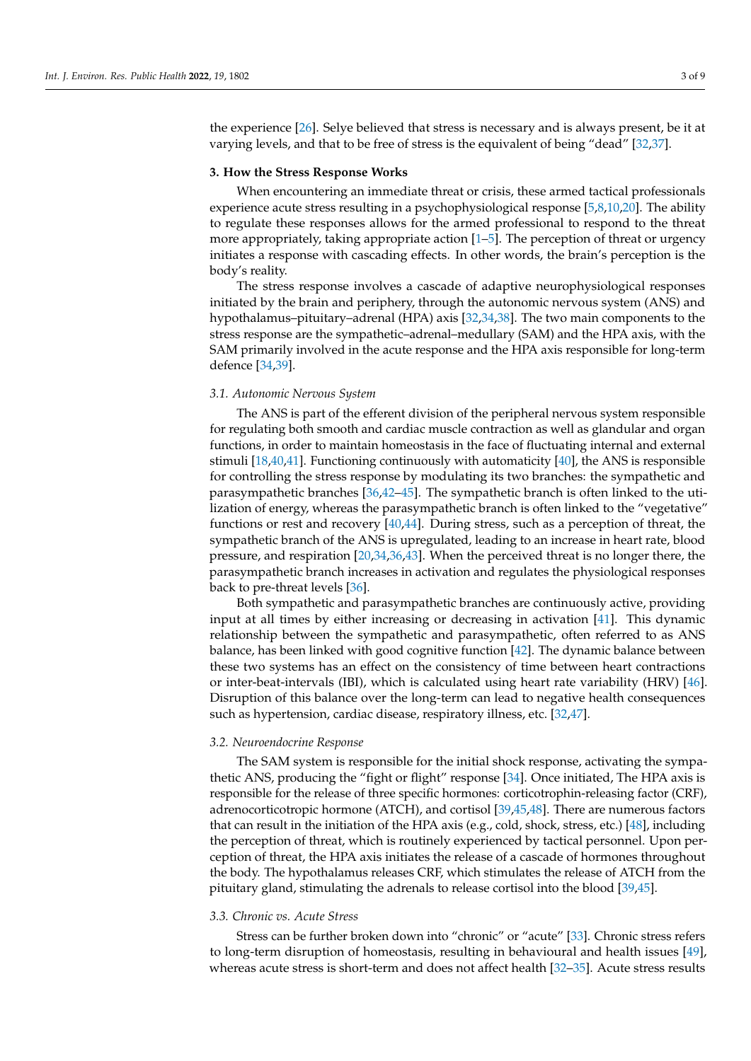the experience [\[26\]](#page-8-3). Selye believed that stress is necessary and is always present, be it at varying levels, and that to be free of stress is the equivalent of being "dead" [\[32](#page-8-8)[,37\]](#page-8-11).

#### **3. How the Stress Response Works**

When encountering an immediate threat or crisis, these armed tactical professionals experience acute stress resulting in a psychophysiological response [\[5](#page-7-4)[,8](#page-7-7)[,10](#page-7-11)[,20\]](#page-7-17). The ability to regulate these responses allows for the armed professional to respond to the threat more appropriately, taking appropriate action [\[1](#page-7-0)[–5\]](#page-7-4). The perception of threat or urgency initiates a response with cascading effects. In other words, the brain's perception is the body's reality.

The stress response involves a cascade of adaptive neurophysiological responses initiated by the brain and periphery, through the autonomic nervous system (ANS) and hypothalamus–pituitary–adrenal (HPA) axis [\[32](#page-8-8)[,34](#page-8-12)[,38\]](#page-8-13). The two main components to the stress response are the sympathetic–adrenal–medullary (SAM) and the HPA axis, with the SAM primarily involved in the acute response and the HPA axis responsible for long-term defence [\[34,](#page-8-12)[39\]](#page-8-14).

#### *3.1. Autonomic Nervous System*

The ANS is part of the efferent division of the peripheral nervous system responsible for regulating both smooth and cardiac muscle contraction as well as glandular and organ functions, in order to maintain homeostasis in the face of fluctuating internal and external stimuli [\[18](#page-7-15)[,40](#page-8-15)[,41\]](#page-8-16). Functioning continuously with automaticity [\[40\]](#page-8-15), the ANS is responsible for controlling the stress response by modulating its two branches: the sympathetic and parasympathetic branches [\[36,](#page-8-10)[42](#page-8-17)[–45\]](#page-8-18). The sympathetic branch is often linked to the utilization of energy, whereas the parasympathetic branch is often linked to the "vegetative" functions or rest and recovery [\[40,](#page-8-15)[44\]](#page-8-19). During stress, such as a perception of threat, the sympathetic branch of the ANS is upregulated, leading to an increase in heart rate, blood pressure, and respiration [\[20,](#page-7-17)[34](#page-8-12)[,36,](#page-8-10)[43\]](#page-8-20). When the perceived threat is no longer there, the parasympathetic branch increases in activation and regulates the physiological responses back to pre-threat levels [\[36\]](#page-8-10).

Both sympathetic and parasympathetic branches are continuously active, providing input at all times by either increasing or decreasing in activation [\[41\]](#page-8-16). This dynamic relationship between the sympathetic and parasympathetic, often referred to as ANS balance, has been linked with good cognitive function [\[42\]](#page-8-17). The dynamic balance between these two systems has an effect on the consistency of time between heart contractions or inter-beat-intervals (IBI), which is calculated using heart rate variability (HRV) [\[46\]](#page-8-21). Disruption of this balance over the long-term can lead to negative health consequences such as hypertension, cardiac disease, respiratory illness, etc. [\[32](#page-8-8)[,47\]](#page-8-22).

### *3.2. Neuroendocrine Response*

The SAM system is responsible for the initial shock response, activating the sympathetic ANS, producing the "fight or flight" response [\[34\]](#page-8-12). Once initiated, The HPA axis is responsible for the release of three specific hormones: corticotrophin-releasing factor (CRF), adrenocorticotropic hormone (ATCH), and cortisol [\[39,](#page-8-14)[45,](#page-8-18)[48\]](#page-8-23). There are numerous factors that can result in the initiation of the HPA axis (e.g., cold, shock, stress, etc.) [\[48\]](#page-8-23), including the perception of threat, which is routinely experienced by tactical personnel. Upon perception of threat, the HPA axis initiates the release of a cascade of hormones throughout the body. The hypothalamus releases CRF, which stimulates the release of ATCH from the pituitary gland, stimulating the adrenals to release cortisol into the blood [\[39,](#page-8-14)[45\]](#page-8-18).

## *3.3. Chronic vs. Acute Stress*

Stress can be further broken down into "chronic" or "acute" [\[33\]](#page-8-24). Chronic stress refers to long-term disruption of homeostasis, resulting in behavioural and health issues [\[49\]](#page-8-25), whereas acute stress is short-term and does not affect health [\[32](#page-8-8)[–35\]](#page-8-9). Acute stress results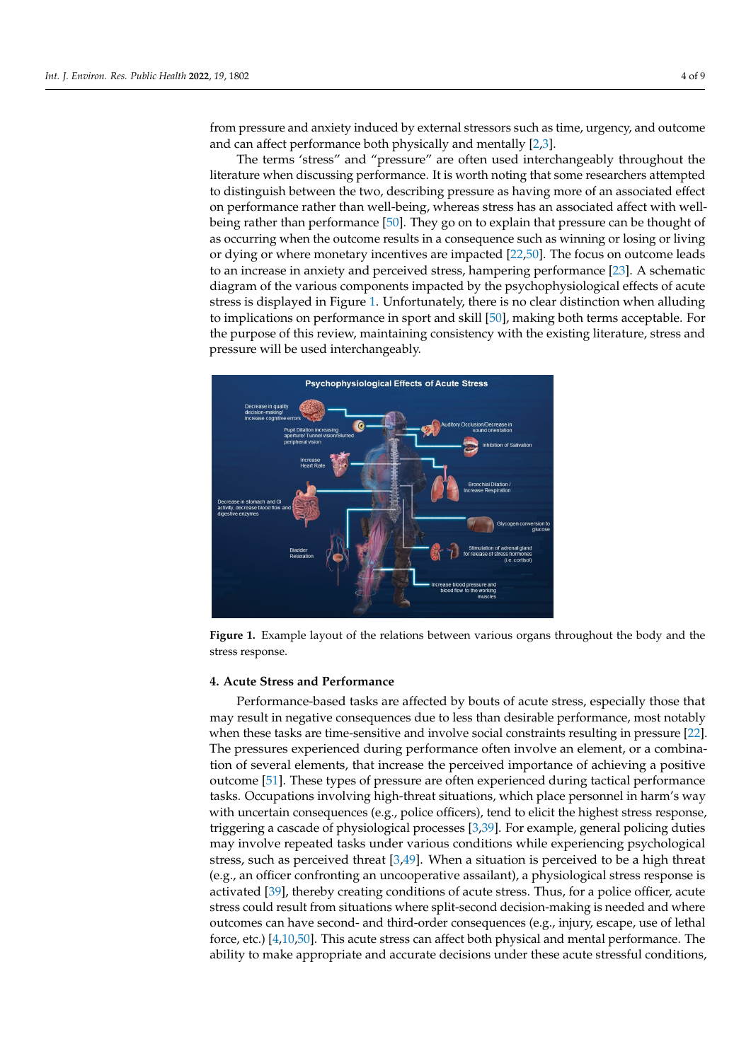from pressure and anxiety induced by external stressors such as time, urgency, and outcome and can affect performance both physically and me[nt](#page-7-1)[al](#page-7-2)ly [2,3].

to long-term disruption of homeostasis, resulting in behavioural and health issues [49],

The terms 'stress" and "pressure" are often used interchangeably throughout the literature when discussing performance. It is worth noting that some researchers attempted erature when discussing performance. It is worth noting that some researchers attempted to distinguish between the two, describing pressure as having more of an associated effect on performance rather than well-being, whereas stress has an associated affect with wellbeing rather than performance [\[50\]](#page-8-26). They go on to explain that pressure can be thought of being rather than performance [50]. They go on to explain that pressure can be thought of as occurring when the outcome results in a consequence such as winning or losing or living or dying or where monetary incentives are impacted [\[22](#page-7-19)[,50\]](#page-8-26). The focus on outcome leads to an increase in anxiety and perceived stress, hampering performance [\[23\]](#page-8-0). A schematic diagram of the various components impacted by the psychophysiological effects of acute stress is displayed in [Fig](#page-4-0)ure 1. Unfortunately, there is no clear distinction when alluding to implications on performance in sport and skill  $[50]$ , making both terms acceptable. For the purpose of this review, maintaining consistency with the existing literature, stress and pressure will be used interchangeably.

<span id="page-4-0"></span>

Figure 1. Example layout of the relations between various organs throughout the body and the stress response.

# **4. Acute Stress and Performance 4. Acute Stress and Performance**

Performance-based tasks are affected by bouts of acute stress, especially those that Performance-based tasks are affected by bouts of acute stress, especially those that may result in negative consequences due to less than desirable performance, most notably may result in negative consequences due to less than desirable performance, most notably when these tasks are time-sensitive and involve social constraints resulting in pres[sur](#page-7-19)e when these tasks are time-sensitive and involve social constraints resulting in pressure [22]. The pressures experienced during performance often involve an element, or a combination of several elements, that increase the perceived importance of achieving a positive outc[ome](#page-8-27) [51]. These types of pressure are often experienced during tactical performance tasks. Occupations involving high-threat situations, which place personnel in harm's way with uncertain consequences (e.g., police officers), tend to elicit the highest stress response, triggering a cascade of physiological processes [\[3,](#page-7-2)[39\]](#page-8-14). For example, general policing duties may involve repeated tasks under various conditions while experiencing psychological stress, such as perceived threat [\[3,](#page-7-2)[49\]](#page-8-25). When a situation is perceived to be a high threat (e.g., an officer confronting an uncooperative assailant), a physiological stress response is activated [\[39\]](#page-8-14), thereby creating conditions of acute stress. Thus, for a police officer, acute stress could result from situations where split-second decision-making is needed and where outcomes can have second- and third-order consequences (e.g., injury, escape, use of lethal force, etc.) [\[4,](#page-7-3)[10](#page-7-11)[,50\]](#page-8-26). This acute stress can affect both physical and mental performance. The ability to make appropriate and accurate decisions under these acute stressful conditions,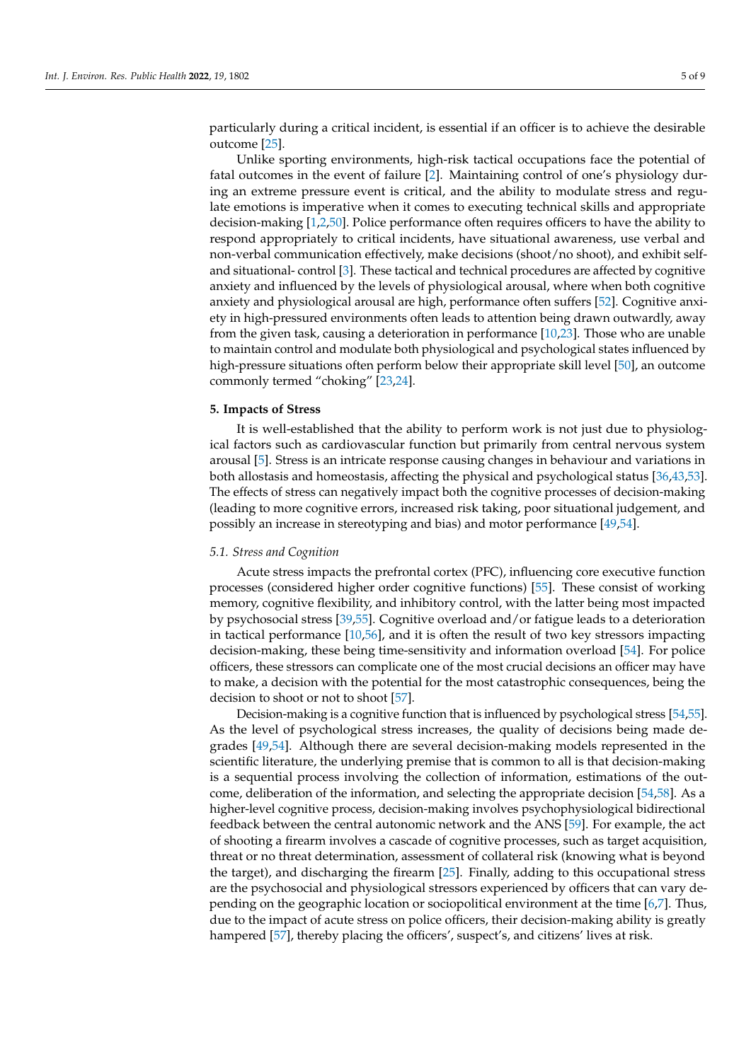particularly during a critical incident, is essential if an officer is to achieve the desirable outcome [\[25\]](#page-8-2).

Unlike sporting environments, high-risk tactical occupations face the potential of fatal outcomes in the event of failure [\[2\]](#page-7-1). Maintaining control of one's physiology during an extreme pressure event is critical, and the ability to modulate stress and regulate emotions is imperative when it comes to executing technical skills and appropriate decision-making [\[1,](#page-7-0)[2,](#page-7-1)[50\]](#page-8-26). Police performance often requires officers to have the ability to respond appropriately to critical incidents, have situational awareness, use verbal and non-verbal communication effectively, make decisions (shoot/no shoot), and exhibit selfand situational- control [\[3\]](#page-7-2). These tactical and technical procedures are affected by cognitive anxiety and influenced by the levels of physiological arousal, where when both cognitive anxiety and physiological arousal are high, performance often suffers [\[52\]](#page-8-28). Cognitive anxiety in high-pressured environments often leads to attention being drawn outwardly, away from the given task, causing a deterioration in performance [\[10](#page-7-11)[,23\]](#page-8-0). Those who are unable to maintain control and modulate both physiological and psychological states influenced by high-pressure situations often perform below their appropriate skill level [\[50\]](#page-8-26), an outcome commonly termed "choking" [\[23](#page-8-0)[,24\]](#page-8-1).

## **5. Impacts of Stress**

It is well-established that the ability to perform work is not just due to physiological factors such as cardiovascular function but primarily from central nervous system arousal [\[5\]](#page-7-4). Stress is an intricate response causing changes in behaviour and variations in both allostasis and homeostasis, affecting the physical and psychological status [\[36](#page-8-10)[,43,](#page-8-20)[53\]](#page-8-29). The effects of stress can negatively impact both the cognitive processes of decision-making (leading to more cognitive errors, increased risk taking, poor situational judgement, and possibly an increase in stereotyping and bias) and motor performance [\[49,](#page-8-25)[54\]](#page-9-0).

### *5.1. Stress and Cognition*

Acute stress impacts the prefrontal cortex (PFC), influencing core executive function processes (considered higher order cognitive functions) [\[55\]](#page-9-1). These consist of working memory, cognitive flexibility, and inhibitory control, with the latter being most impacted by psychosocial stress [\[39](#page-8-14)[,55\]](#page-9-1). Cognitive overload and/or fatigue leads to a deterioration in tactical performance [\[10](#page-7-11)[,56\]](#page-9-2), and it is often the result of two key stressors impacting decision-making, these being time-sensitivity and information overload [\[54\]](#page-9-0). For police officers, these stressors can complicate one of the most crucial decisions an officer may have to make, a decision with the potential for the most catastrophic consequences, being the decision to shoot or not to shoot [\[57\]](#page-9-3).

Decision-making is a cognitive function that is influenced by psychological stress [\[54,](#page-9-0)[55\]](#page-9-1). As the level of psychological stress increases, the quality of decisions being made degrades [\[49,](#page-8-25)[54\]](#page-9-0). Although there are several decision-making models represented in the scientific literature, the underlying premise that is common to all is that decision-making is a sequential process involving the collection of information, estimations of the outcome, deliberation of the information, and selecting the appropriate decision [\[54,](#page-9-0)[58\]](#page-9-4). As a higher-level cognitive process, decision-making involves psychophysiological bidirectional feedback between the central autonomic network and the ANS [\[59\]](#page-9-5). For example, the act of shooting a firearm involves a cascade of cognitive processes, such as target acquisition, threat or no threat determination, assessment of collateral risk (knowing what is beyond the target), and discharging the firearm [\[25\]](#page-8-2). Finally, adding to this occupational stress are the psychosocial and physiological stressors experienced by officers that can vary depending on the geographic location or sociopolitical environment at the time [\[6,](#page-7-5)[7\]](#page-7-6). Thus, due to the impact of acute stress on police officers, their decision-making ability is greatly hampered [\[57\]](#page-9-3), thereby placing the officers', suspect's, and citizens' lives at risk.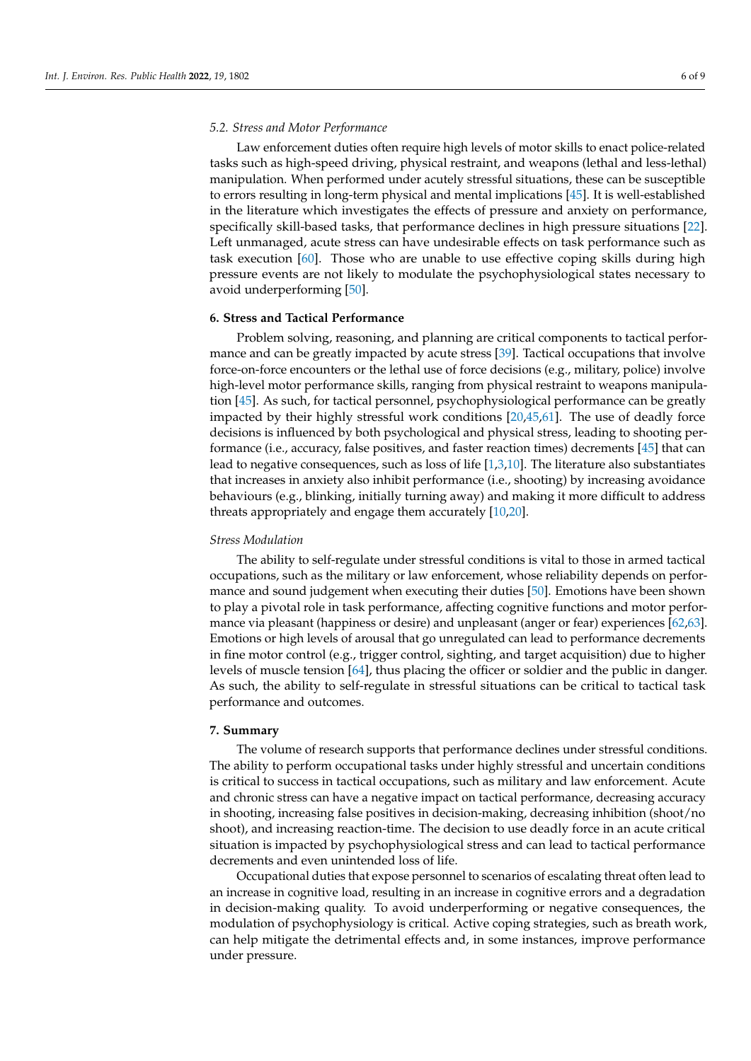### *5.2. Stress and Motor Performance*

Law enforcement duties often require high levels of motor skills to enact police-related tasks such as high-speed driving, physical restraint, and weapons (lethal and less-lethal) manipulation. When performed under acutely stressful situations, these can be susceptible to errors resulting in long-term physical and mental implications [\[45\]](#page-8-18). It is well-established in the literature which investigates the effects of pressure and anxiety on performance, specifically skill-based tasks, that performance declines in high pressure situations [\[22\]](#page-7-19). Left unmanaged, acute stress can have undesirable effects on task performance such as task execution [\[60\]](#page-9-6). Those who are unable to use effective coping skills during high pressure events are not likely to modulate the psychophysiological states necessary to avoid underperforming [\[50\]](#page-8-26).

### **6. Stress and Tactical Performance**

Problem solving, reasoning, and planning are critical components to tactical performance and can be greatly impacted by acute stress [\[39\]](#page-8-14). Tactical occupations that involve force-on-force encounters or the lethal use of force decisions (e.g., military, police) involve high-level motor performance skills, ranging from physical restraint to weapons manipulation [\[45\]](#page-8-18). As such, for tactical personnel, psychophysiological performance can be greatly impacted by their highly stressful work conditions [\[20](#page-7-17)[,45](#page-8-18)[,61\]](#page-9-7). The use of deadly force decisions is influenced by both psychological and physical stress, leading to shooting performance (i.e., accuracy, false positives, and faster reaction times) decrements [\[45\]](#page-8-18) that can lead to negative consequences, such as loss of life [\[1,](#page-7-0)[3,](#page-7-2)[10\]](#page-7-11). The literature also substantiates that increases in anxiety also inhibit performance (i.e., shooting) by increasing avoidance behaviours (e.g., blinking, initially turning away) and making it more difficult to address threats appropriately and engage them accurately [\[10,](#page-7-11)[20\]](#page-7-17).

### *Stress Modulation*

The ability to self-regulate under stressful conditions is vital to those in armed tactical occupations, such as the military or law enforcement, whose reliability depends on performance and sound judgement when executing their duties [\[50\]](#page-8-26). Emotions have been shown to play a pivotal role in task performance, affecting cognitive functions and motor performance via pleasant (happiness or desire) and unpleasant (anger or fear) experiences [\[62](#page-9-8)[,63\]](#page-9-9). Emotions or high levels of arousal that go unregulated can lead to performance decrements in fine motor control (e.g., trigger control, sighting, and target acquisition) due to higher levels of muscle tension [\[64\]](#page-9-10), thus placing the officer or soldier and the public in danger. As such, the ability to self-regulate in stressful situations can be critical to tactical task performance and outcomes.

### **7. Summary**

The volume of research supports that performance declines under stressful conditions. The ability to perform occupational tasks under highly stressful and uncertain conditions is critical to success in tactical occupations, such as military and law enforcement. Acute and chronic stress can have a negative impact on tactical performance, decreasing accuracy in shooting, increasing false positives in decision-making, decreasing inhibition (shoot/no shoot), and increasing reaction-time. The decision to use deadly force in an acute critical situation is impacted by psychophysiological stress and can lead to tactical performance decrements and even unintended loss of life.

Occupational duties that expose personnel to scenarios of escalating threat often lead to an increase in cognitive load, resulting in an increase in cognitive errors and a degradation in decision-making quality. To avoid underperforming or negative consequences, the modulation of psychophysiology is critical. Active coping strategies, such as breath work, can help mitigate the detrimental effects and, in some instances, improve performance under pressure.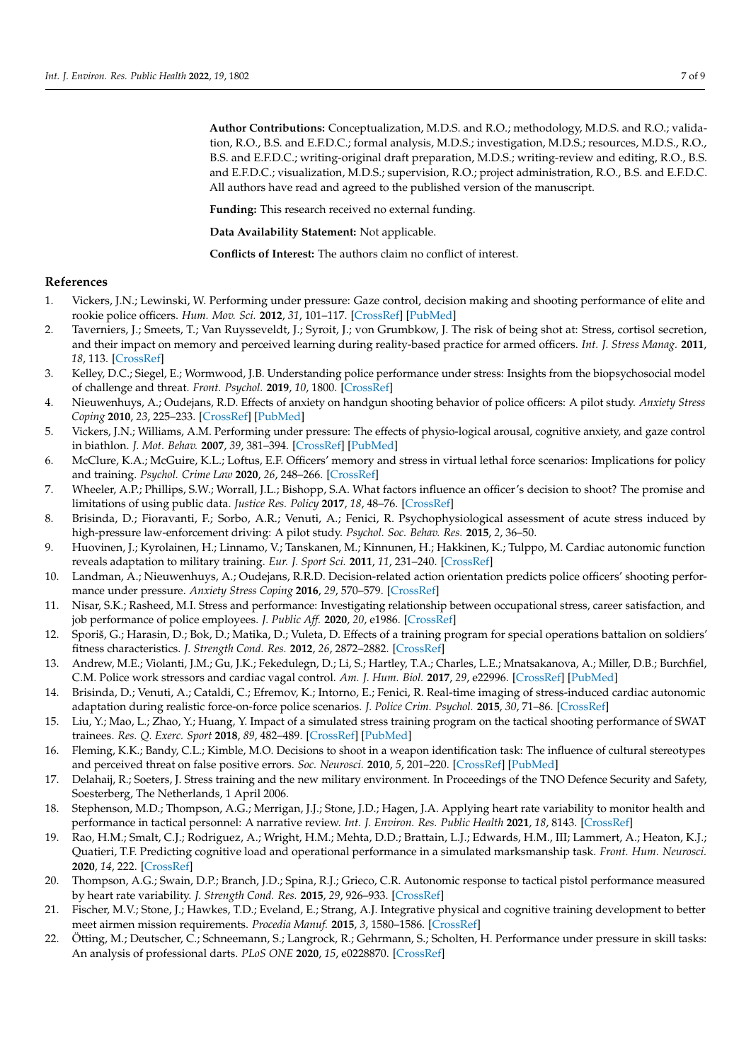**Author Contributions:** Conceptualization, M.D.S. and R.O.; methodology, M.D.S. and R.O.; validation, R.O., B.S. and E.F.D.C.; formal analysis, M.D.S.; investigation, M.D.S.; resources, M.D.S., R.O., B.S. and E.F.D.C.; writing-original draft preparation, M.D.S.; writing-review and editing, R.O., B.S. and E.F.D.C.; visualization, M.D.S.; supervision, R.O.; project administration, R.O., B.S. and E.F.D.C. All authors have read and agreed to the published version of the manuscript.

**Funding:** This research received no external funding.

**Data Availability Statement:** Not applicable.

**Conflicts of Interest:** The authors claim no conflict of interest.

### **References**

- <span id="page-7-0"></span>1. Vickers, J.N.; Lewinski, W. Performing under pressure: Gaze control, decision making and shooting performance of elite and rookie police officers. *Hum. Mov. Sci.* **2012**, *31*, 101–117. [\[CrossRef\]](http://doi.org/10.1016/j.humov.2011.04.004) [\[PubMed\]](http://www.ncbi.nlm.nih.gov/pubmed/21807433)
- <span id="page-7-1"></span>2. Taverniers, J.; Smeets, T.; Van Ruysseveldt, J.; Syroit, J.; von Grumbkow, J. The risk of being shot at: Stress, cortisol secretion, and their impact on memory and perceived learning during reality-based practice for armed officers. *Int. J. Stress Manag.* **2011**, *18*, 113. [\[CrossRef\]](http://doi.org/10.1037/a0023742)
- <span id="page-7-2"></span>3. Kelley, D.C.; Siegel, E.; Wormwood, J.B. Understanding police performance under stress: Insights from the biopsychosocial model of challenge and threat. *Front. Psychol.* **2019**, *10*, 1800. [\[CrossRef\]](http://doi.org/10.3389/fpsyg.2019.01800)
- <span id="page-7-3"></span>4. Nieuwenhuys, A.; Oudejans, R.D. Effects of anxiety on handgun shooting behavior of police officers: A pilot study. *Anxiety Stress Coping* **2010**, *23*, 225–233. [\[CrossRef\]](http://doi.org/10.1080/10615800902977494) [\[PubMed\]](http://www.ncbi.nlm.nih.gov/pubmed/19462309)
- <span id="page-7-4"></span>5. Vickers, J.N.; Williams, A.M. Performing under pressure: The effects of physio-logical arousal, cognitive anxiety, and gaze control in biathlon. *J. Mot. Behav.* **2007**, *39*, 381–394. [\[CrossRef\]](http://doi.org/10.3200/JMBR.39.5.381-394) [\[PubMed\]](http://www.ncbi.nlm.nih.gov/pubmed/17827115)
- <span id="page-7-5"></span>6. McClure, K.A.; McGuire, K.L.; Loftus, E.F. Officers' memory and stress in virtual lethal force scenarios: Implications for policy and training. *Psychol. Crime Law* **2020**, *26*, 248–266. [\[CrossRef\]](http://doi.org/10.1080/1068316X.2019.1652748)
- <span id="page-7-6"></span>7. Wheeler, A.P.; Phillips, S.W.; Worrall, J.L.; Bishopp, S.A. What factors influence an officer's decision to shoot? The promise and limitations of using public data. *Justice Res. Policy* **2017**, *18*, 48–76. [\[CrossRef\]](http://doi.org/10.1177/1525107118759900)
- <span id="page-7-7"></span>8. Brisinda, D.; Fioravanti, F.; Sorbo, A.R.; Venuti, A.; Fenici, R. Psychophysiological assessment of acute stress induced by high-pressure law-enforcement driving: A pilot study. *Psychol. Soc. Behav. Res.* **2015**, *2*, 36–50.
- 9. Huovinen, J.; Kyrolainen, H.; Linnamo, V.; Tanskanen, M.; Kinnunen, H.; Hakkinen, K.; Tulppo, M. Cardiac autonomic function reveals adaptation to military training. *Eur. J. Sport Sci.* **2011**, *11*, 231–240. [\[CrossRef\]](http://doi.org/10.1080/17461391.2010.506659)
- <span id="page-7-11"></span>10. Landman, A.; Nieuwenhuys, A.; Oudejans, R.R.D. Decision-related action orientation predicts police officers' shooting performance under pressure. *Anxiety Stress Coping* **2016**, *29*, 570–579. [\[CrossRef\]](http://doi.org/10.1080/10615806.2015.1070834)
- 11. Nisar, S.K.; Rasheed, M.I. Stress and performance: Investigating relationship between occupational stress, career satisfaction, and job performance of police employees. *J. Public Aff.* **2020**, *20*, e1986. [\[CrossRef\]](http://doi.org/10.1002/pa.1986)
- <span id="page-7-8"></span>12. Sporiš, G.; Harasin, D.; Bok, D.; Matika, D.; Vuleta, D. Effects of a training program for special operations battalion on soldiers' fitness characteristics. *J. Strength Cond. Res.* **2012**, *26*, 2872–2882. [\[CrossRef\]](http://doi.org/10.1519/JSC.0b013e318242966c)
- <span id="page-7-9"></span>13. Andrew, M.E.; Violanti, J.M.; Gu, J.K.; Fekedulegn, D.; Li, S.; Hartley, T.A.; Charles, L.E.; Mnatsakanova, A.; Miller, D.B.; Burchfiel, C.M. Police work stressors and cardiac vagal control. *Am. J. Hum. Biol.* **2017**, *29*, e22996. [\[CrossRef\]](http://doi.org/10.1002/ajhb.22996) [\[PubMed\]](http://www.ncbi.nlm.nih.gov/pubmed/28295842)
- <span id="page-7-10"></span>14. Brisinda, D.; Venuti, A.; Cataldi, C.; Efremov, K.; Intorno, E.; Fenici, R. Real-time imaging of stress-induced cardiac autonomic adaptation during realistic force-on-force police scenarios. *J. Police Crim. Psychol.* **2015**, *30*, 71–86. [\[CrossRef\]](http://doi.org/10.1007/s11896-014-9142-5)
- <span id="page-7-12"></span>15. Liu, Y.; Mao, L.; Zhao, Y.; Huang, Y. Impact of a simulated stress training program on the tactical shooting performance of SWAT trainees. *Res. Q. Exerc. Sport* **2018**, *89*, 482–489. [\[CrossRef\]](http://doi.org/10.1080/02701367.2018.1526003) [\[PubMed\]](http://www.ncbi.nlm.nih.gov/pubmed/30325703)
- <span id="page-7-13"></span>16. Fleming, K.K.; Bandy, C.L.; Kimble, M.O. Decisions to shoot in a weapon identification task: The influence of cultural stereotypes and perceived threat on false positive errors. *Soc. Neurosci.* **2010**, *5*, 201–220. [\[CrossRef\]](http://doi.org/10.1080/17470910903268931) [\[PubMed\]](http://www.ncbi.nlm.nih.gov/pubmed/19813139)
- <span id="page-7-14"></span>17. Delahaij, R.; Soeters, J. Stress training and the new military environment. In Proceedings of the TNO Defence Security and Safety, Soesterberg, The Netherlands, 1 April 2006.
- <span id="page-7-15"></span>18. Stephenson, M.D.; Thompson, A.G.; Merrigan, J.J.; Stone, J.D.; Hagen, J.A. Applying heart rate variability to monitor health and performance in tactical personnel: A narrative review. *Int. J. Environ. Res. Public Health* **2021**, *18*, 8143. [\[CrossRef\]](http://doi.org/10.3390/ijerph18158143)
- <span id="page-7-16"></span>19. Rao, H.M.; Smalt, C.J.; Rodriguez, A.; Wright, H.M.; Mehta, D.D.; Brattain, L.J.; Edwards, H.M., III; Lammert, A.; Heaton, K.J.; Quatieri, T.F. Predicting cognitive load and operational performance in a simulated marksmanship task. *Front. Hum. Neurosci.* **2020**, *14*, 222. [\[CrossRef\]](http://doi.org/10.3389/fnhum.2020.00222)
- <span id="page-7-17"></span>20. Thompson, A.G.; Swain, D.P.; Branch, J.D.; Spina, R.J.; Grieco, C.R. Autonomic response to tactical pistol performance measured by heart rate variability. *J. Strength Cond. Res.* **2015**, *29*, 926–933. [\[CrossRef\]](http://doi.org/10.1519/JSC.0000000000000615)
- <span id="page-7-18"></span>21. Fischer, M.V.; Stone, J.; Hawkes, T.D.; Eveland, E.; Strang, A.J. Integrative physical and cognitive training development to better meet airmen mission requirements. *Procedia Manuf.* **2015**, *3*, 1580–1586. [\[CrossRef\]](http://doi.org/10.1016/j.promfg.2015.07.445)
- <span id="page-7-19"></span>22. Ötting, M.; Deutscher, C.; Schneemann, S.; Langrock, R.; Gehrmann, S.; Scholten, H. Performance under pressure in skill tasks: An analysis of professional darts. *PLoS ONE* **2020**, *15*, e0228870. [\[CrossRef\]](http://doi.org/10.1371/journal.pone.0228870)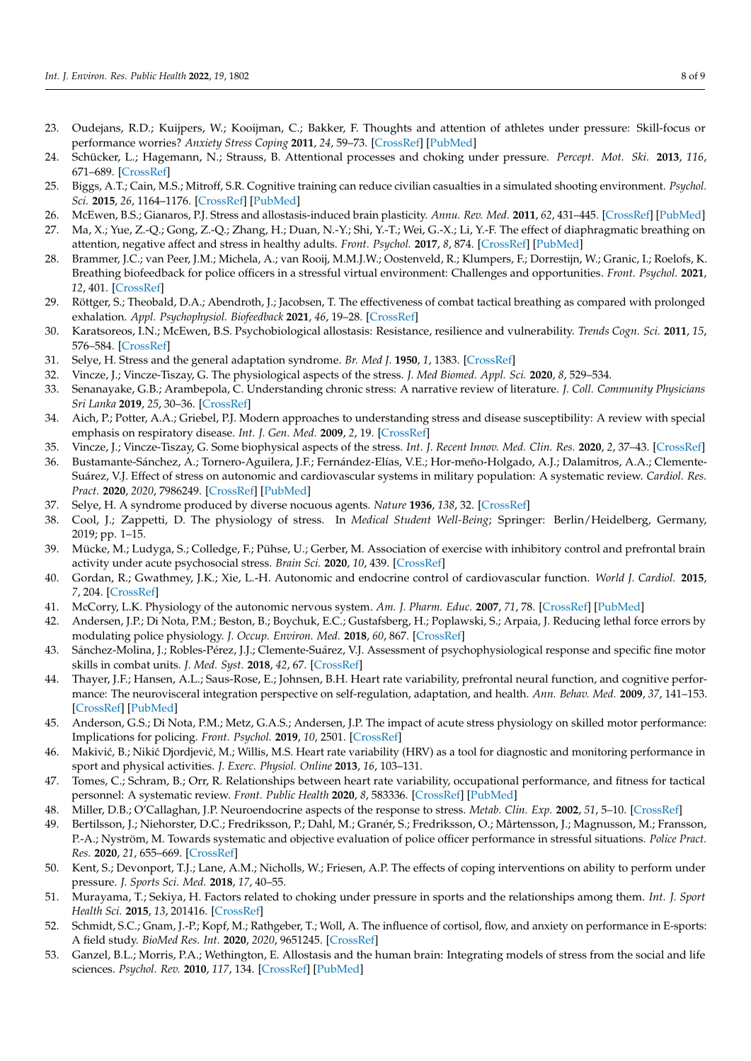- <span id="page-8-0"></span>23. Oudejans, R.D.; Kuijpers, W.; Kooijman, C.; Bakker, F. Thoughts and attention of athletes under pressure: Skill-focus or performance worries? *Anxiety Stress Coping* **2011**, *24*, 59–73. [\[CrossRef\]](http://doi.org/10.1080/10615806.2010.481331) [\[PubMed\]](http://www.ncbi.nlm.nih.gov/pubmed/20425657)
- <span id="page-8-1"></span>24. Schücker, L.; Hagemann, N.; Strauss, B. Attentional processes and choking under pressure. *Percept. Mot. Ski.* **2013**, *116*, 671–689. [\[CrossRef\]](http://doi.org/10.2466/30.25.PMS.116.2.671-689)
- <span id="page-8-2"></span>25. Biggs, A.T.; Cain, M.S.; Mitroff, S.R. Cognitive training can reduce civilian casualties in a simulated shooting environment. *Psychol. Sci.* **2015**, *26*, 1164–1176. [\[CrossRef\]](http://doi.org/10.1177/0956797615579274) [\[PubMed\]](http://www.ncbi.nlm.nih.gov/pubmed/26170262)
- <span id="page-8-3"></span>26. McEwen, B.S.; Gianaros, P.J. Stress and allostasis-induced brain plasticity. *Annu. Rev. Med.* **2011**, *62*, 431–445. [\[CrossRef\]](http://doi.org/10.1146/annurev-med-052209-100430) [\[PubMed\]](http://www.ncbi.nlm.nih.gov/pubmed/20707675)
- <span id="page-8-4"></span>27. Ma, X.; Yue, Z.-Q.; Gong, Z.-Q.; Zhang, H.; Duan, N.-Y.; Shi, Y.-T.; Wei, G.-X.; Li, Y.-F. The effect of diaphragmatic breathing on attention, negative affect and stress in healthy adults. *Front. Psychol.* **2017**, *8*, 874. [\[CrossRef\]](http://doi.org/10.3389/fpsyg.2017.00874) [\[PubMed\]](http://www.ncbi.nlm.nih.gov/pubmed/28626434)
- 28. Brammer, J.C.; van Peer, J.M.; Michela, A.; van Rooij, M.M.J.W.; Oostenveld, R.; Klumpers, F.; Dorrestijn, W.; Granic, I.; Roelofs, K. Breathing biofeedback for police officers in a stressful virtual environment: Challenges and opportunities. *Front. Psychol.* **2021**, *12*, 401. [\[CrossRef\]](http://doi.org/10.3389/fpsyg.2021.586553)
- <span id="page-8-5"></span>29. Röttger, S.; Theobald, D.A.; Abendroth, J.; Jacobsen, T. The effectiveness of combat tactical breathing as compared with prolonged exhalation. *Appl. Psychophysiol. Biofeedback* **2021**, *46*, 19–28. [\[CrossRef\]](http://doi.org/10.1007/s10484-020-09485-w)
- <span id="page-8-6"></span>30. Karatsoreos, I.N.; McEwen, B.S. Psychobiological allostasis: Resistance, resilience and vulnerability. *Trends Cogn. Sci.* **2011**, *15*, 576–584. [\[CrossRef\]](http://doi.org/10.1016/j.tics.2011.10.005)
- <span id="page-8-7"></span>31. Selye, H. Stress and the general adaptation syndrome. *Br. Med J.* **1950**, *1*, 1383. [\[CrossRef\]](http://doi.org/10.1136/bmj.1.4667.1383)
- <span id="page-8-8"></span>32. Vincze, J.; Vincze-Tiszay, G. The physiological aspects of the stress. *J. Med Biomed. Appl. Sci.* **2020**, *8*, 529–534.
- <span id="page-8-24"></span>33. Senanayake, G.B.; Arambepola, C. Understanding chronic stress: A narrative review of literature. *J. Coll. Community Physicians Sri Lanka* **2019**, *25*, 30–36. [\[CrossRef\]](http://doi.org/10.4038/jccpsl.v25i1.8196)
- <span id="page-8-12"></span>34. Aich, P.; Potter, A.A.; Griebel, P.J. Modern approaches to understanding stress and disease susceptibility: A review with special emphasis on respiratory disease. *Int. J. Gen. Med.* **2009**, *2*, 19. [\[CrossRef\]](http://doi.org/10.2147/IJGM.S4843)
- <span id="page-8-9"></span>35. Vincze, J.; Vincze-Tiszay, G. Some biophysical aspects of the stress. *Int. J. Recent Innov. Med. Clin. Res.* **2020**, *2*, 37–43. [\[CrossRef\]](http://doi.org/10.5281/zenodo.3713319)
- <span id="page-8-10"></span>36. Bustamante-Sánchez, A.; Tornero-Aguilera, J.F.; Fernández-Elías, V.E.; Hor-meño-Holgado, A.J.; Dalamitros, A.A.; Clemente-Suárez, V.J. Effect of stress on autonomic and cardiovascular systems in military population: A systematic review. *Cardiol. Res. Pract.* **2020**, *2020*, 7986249. [\[CrossRef\]](http://doi.org/10.1155/2020/7986249) [\[PubMed\]](http://www.ncbi.nlm.nih.gov/pubmed/32850146)
- <span id="page-8-11"></span>37. Selye, H. A syndrome produced by diverse nocuous agents. *Nature* **1936**, *138*, 32. [\[CrossRef\]](http://doi.org/10.1038/138032a0)
- <span id="page-8-13"></span>38. Cool, J.; Zappetti, D. The physiology of stress. In *Medical Student Well-Being*; Springer: Berlin/Heidelberg, Germany, 2019; pp. 1–15.
- <span id="page-8-14"></span>39. Mücke, M.; Ludyga, S.; Colledge, F.; Pühse, U.; Gerber, M. Association of exercise with inhibitory control and prefrontal brain activity under acute psychosocial stress. *Brain Sci.* **2020**, *10*, 439. [\[CrossRef\]](http://doi.org/10.3390/brainsci10070439)
- <span id="page-8-15"></span>40. Gordan, R.; Gwathmey, J.K.; Xie, L.-H. Autonomic and endocrine control of cardiovascular function. *World J. Cardiol.* **2015**, *7*, 204. [\[CrossRef\]](http://doi.org/10.4330/wjc.v7.i4.204)
- <span id="page-8-16"></span>41. McCorry, L.K. Physiology of the autonomic nervous system. *Am. J. Pharm. Educ.* **2007**, *71*, 78. [\[CrossRef\]](http://doi.org/10.5688/aj710478) [\[PubMed\]](http://www.ncbi.nlm.nih.gov/pubmed/17786266)
- <span id="page-8-17"></span>42. Andersen, J.P.; Di Nota, P.M.; Beston, B.; Boychuk, E.C.; Gustafsberg, H.; Poplawski, S.; Arpaia, J. Reducing lethal force errors by modulating police physiology. *J. Occup. Environ. Med.* **2018**, *60*, 867. [\[CrossRef\]](http://doi.org/10.1097/JOM.0000000000001401)
- <span id="page-8-20"></span>43. Sánchez-Molina, J.; Robles-Pérez, J.J.; Clemente-Suárez, V.J. Assessment of psychophysiological response and specific fine motor skills in combat units. *J. Med. Syst.* **2018**, *42*, 67. [\[CrossRef\]](http://doi.org/10.1007/s10916-018-0922-9)
- <span id="page-8-19"></span>44. Thayer, J.F.; Hansen, A.L.; Saus-Rose, E.; Johnsen, B.H. Heart rate variability, prefrontal neural function, and cognitive performance: The neurovisceral integration perspective on self-regulation, adaptation, and health. *Ann. Behav. Med.* **2009**, *37*, 141–153. [\[CrossRef\]](http://doi.org/10.1007/s12160-009-9101-z) [\[PubMed\]](http://www.ncbi.nlm.nih.gov/pubmed/19424767)
- <span id="page-8-18"></span>45. Anderson, G.S.; Di Nota, P.M.; Metz, G.A.S.; Andersen, J.P. The impact of acute stress physiology on skilled motor performance: Implications for policing. *Front. Psychol.* **2019**, *10*, 2501. [\[CrossRef\]](http://doi.org/10.3389/fpsyg.2019.02501)
- <span id="page-8-21"></span>46. Makivić, B.; Nikić Djordjević, M.; Willis, M.S. Heart rate variability (HRV) as a tool for diagnostic and monitoring performance in sport and physical activities. *J. Exerc. Physiol. Online* **2013**, *16*, 103–131.
- <span id="page-8-22"></span>47. Tomes, C.; Schram, B.; Orr, R. Relationships between heart rate variability, occupational performance, and fitness for tactical personnel: A systematic review. *Front. Public Health* **2020**, *8*, 583336. [\[CrossRef\]](http://doi.org/10.3389/fpubh.2020.583336) [\[PubMed\]](http://www.ncbi.nlm.nih.gov/pubmed/33240835)
- <span id="page-8-23"></span>48. Miller, D.B.; O'Callaghan, J.P. Neuroendocrine aspects of the response to stress. *Metab. Clin. Exp.* **2002**, *51*, 5–10. [\[CrossRef\]](http://doi.org/10.1053/meta.2002.33184)
- <span id="page-8-25"></span>49. Bertilsson, J.; Niehorster, D.C.; Fredriksson, P.; Dahl, M.; Granér, S.; Fredriksson, O.; Mårtensson, J.; Magnusson, M.; Fransson, P.-A.; Nyström, M. Towards systematic and objective evaluation of police officer performance in stressful situations. *Police Pract. Res.* **2020**, *21*, 655–669. [\[CrossRef\]](http://doi.org/10.1080/15614263.2019.1666006)
- <span id="page-8-26"></span>50. Kent, S.; Devonport, T.J.; Lane, A.M.; Nicholls, W.; Friesen, A.P. The effects of coping interventions on ability to perform under pressure. *J. Sports Sci. Med.* **2018**, *17*, 40–55.
- <span id="page-8-27"></span>51. Murayama, T.; Sekiya, H. Factors related to choking under pressure in sports and the relationships among them. *Int. J. Sport Health Sci.* **2015**, *13*, 201416. [\[CrossRef\]](http://doi.org/10.5432/ijshs.201416)
- <span id="page-8-28"></span>52. Schmidt, S.C.; Gnam, J.-P.; Kopf, M.; Rathgeber, T.; Woll, A. The influence of cortisol, flow, and anxiety on performance in E-sports: A field study. *BioMed Res. Int.* **2020**, *2020*, 9651245. [\[CrossRef\]](http://doi.org/10.1155/2020/9651245)
- <span id="page-8-29"></span>53. Ganzel, B.L.; Morris, P.A.; Wethington, E. Allostasis and the human brain: Integrating models of stress from the social and life sciences. *Psychol. Rev.* **2010**, *117*, 134. [\[CrossRef\]](http://doi.org/10.1037/a0017773) [\[PubMed\]](http://www.ncbi.nlm.nih.gov/pubmed/20063966)